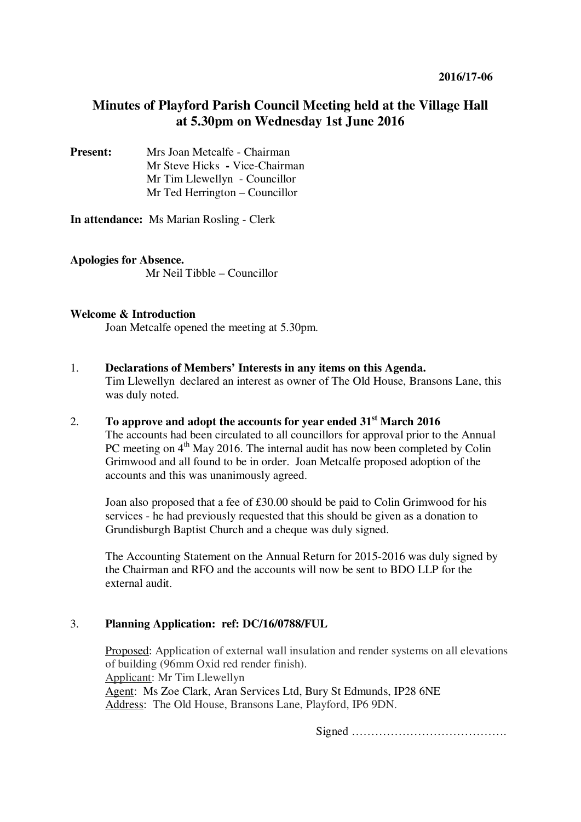# **Minutes of Playford Parish Council Meeting held at the Village Hall at 5.30pm on Wednesday 1st June 2016**

**Present:** Mrs Joan Metcalfe - Chairman Mr Steve Hicks **-** Vice-Chairman Mr Tim Llewellyn- Councillor Mr Ted Herrington – Councillor

**In attendance:** Ms Marian Rosling - Clerk

**Apologies for Absence.**  Mr Neil Tibble – Councillor

### **Welcome & Introduction**

Joan Metcalfe opened the meeting at 5.30pm.

- 1. **Declarations of Members' Interests in any items on this Agenda.**  Tim Llewellyndeclared an interest as owner of The Old House, Bransons Lane, this was duly noted.
- 2. **To approve and adopt the accounts for year ended 31st March 2016**  The accounts had been circulated to all councillors for approval prior to the Annual PC meeting on 4<sup>th</sup> May 2016. The internal audit has now been completed by Colin Grimwood and all found to be in order. Joan Metcalfe proposed adoption of the accounts and this was unanimously agreed.

Joan also proposed that a fee of £30.00 should be paid to Colin Grimwood for his services - he had previously requested that this should be given as a donation to Grundisburgh Baptist Church and a cheque was duly signed.

The Accounting Statement on the Annual Return for 2015-2016 was duly signed by the Chairman and RFO and the accounts will now be sent to BDO LLP for the external audit.

## 3. **Planning Application: ref: DC/16/0788/FUL**

Proposed: Application of external wall insulation and render systems on all elevations of building (96mm Oxid red render finish). Applicant: Mr Tim Llewellyn Agent: Ms Zoe Clark, Aran Services Ltd, Bury St Edmunds, IP28 6NE Address: The Old House, Bransons Lane, Playford, IP6 9DN.

Signed ………………………………….